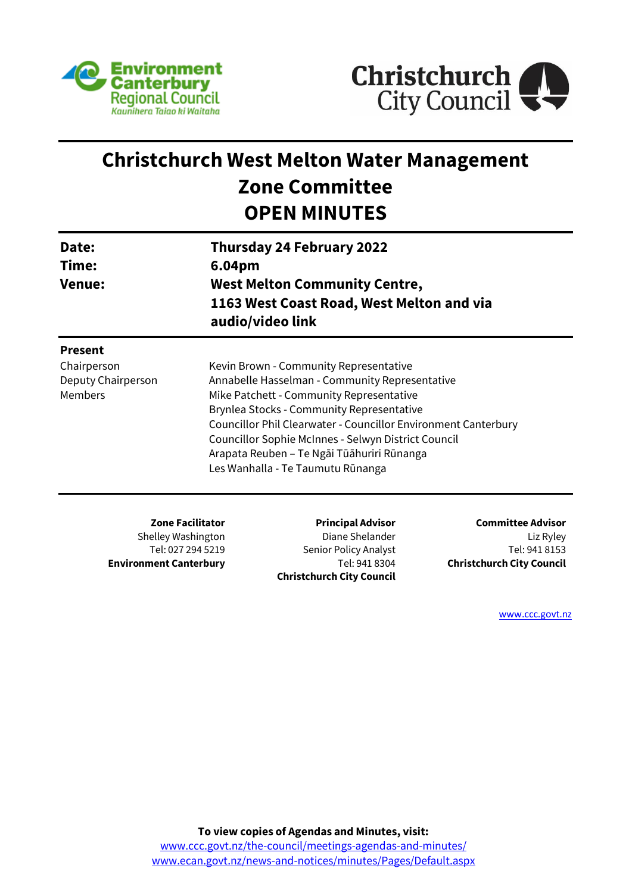



# **Christchurch West Melton Water Management Zone Committee OPEN MINUTES**

| Date:<br>Time:<br><b>Venue:</b>                                       | 6.04pm                  | <b>Thursday 24 February 2022</b><br><b>West Melton Community Centre,</b><br>1163 West Coast Road, West Melton and via<br>audio/video link<br>Kevin Brown - Community Representative<br>Annabelle Hasselman - Community Representative<br>Mike Patchett - Community Representative<br><b>Brynlea Stocks - Community Representative</b><br>Councillor Phil Clearwater - Councillor Environment Canterbury<br>Councillor Sophie McInnes - Selwyn District Council<br>Arapata Reuben – Te Ngāi Tūāhuriri Rūnanga<br>Les Wanhalla - Te Taumutu Rūnanga |                          |  |
|-----------------------------------------------------------------------|-------------------------|---------------------------------------------------------------------------------------------------------------------------------------------------------------------------------------------------------------------------------------------------------------------------------------------------------------------------------------------------------------------------------------------------------------------------------------------------------------------------------------------------------------------------------------------------|--------------------------|--|
| <b>Present</b><br>Chairperson<br>Deputy Chairperson<br><b>Members</b> |                         |                                                                                                                                                                                                                                                                                                                                                                                                                                                                                                                                                   |                          |  |
|                                                                       | <b>Zone Facilitator</b> | <b>Principal Advisor</b>                                                                                                                                                                                                                                                                                                                                                                                                                                                                                                                          | <b>Committee Advisor</b> |  |

Shelley Washington Tel: 027 294 5219 **Environment Canterbury**

**Principal Advisor** Diane Shelander Senior Policy Analyst Tel: 941 8304 **Christchurch City Council**

**Committee Advisor** Liz Ryley Tel: 941 8153 **Christchurch City Council**

[www.ccc.govt.nz](http://www.ccc.govt.nz/)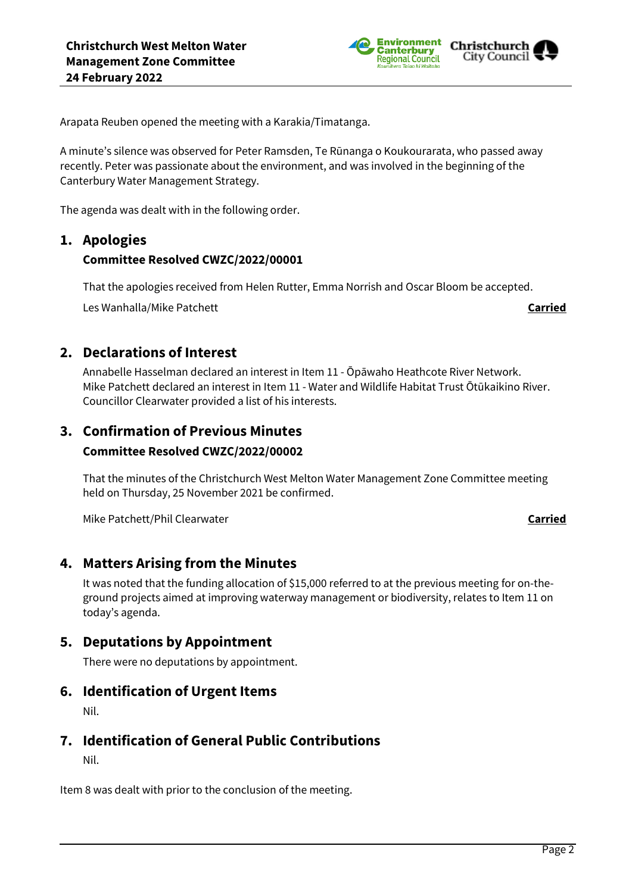

Arapata Reuben opened the meeting with a Karakia/Timatanga.

A minute's silence was observed for Peter Ramsden, Te Rūnanga o Koukourarata, who passed away recently. Peter was passionate about the environment, and was involved in the beginning of the Canterbury Water Management Strategy.

The agenda was dealt with in the following order.

### **1. Apologies**

### **Committee Resolved CWZC/2022/00001**

That the apologies received from Helen Rutter, Emma Norrish and Oscar Bloom be accepted.

Les Wanhalla/Mike Patchett **Carried**

## **2. Declarations of Interest**

Annabelle Hasselman declared an interest in Item 11 - Ōpāwaho Heathcote River Network. Mike Patchett declared an interest in Item 11 - Water and Wildlife Habitat Trust Ōtūkaikino River. Councillor Clearwater provided a list of his interests.

# **3. Confirmation of Previous Minutes**

### **Committee Resolved CWZC/2022/00002**

That the minutes of the Christchurch West Melton Water Management Zone Committee meeting held on Thursday, 25 November 2021 be confirmed.

Mike Patchett/Phil Clearwater **Carried**

### **4. Matters Arising from the Minutes**

It was noted that the funding allocation of \$15,000 referred to at the previous meeting for on-theground projects aimed at improving waterway management or biodiversity, relates to Item 11 on today's agenda.

### **5. Deputations by Appointment**

There were no deputations by appointment.

### **6. Identification of Urgent Items**

Nil.

### **7. Identification of General Public Contributions**

Nil.

Item 8 was dealt with prior to the conclusion of the meeting.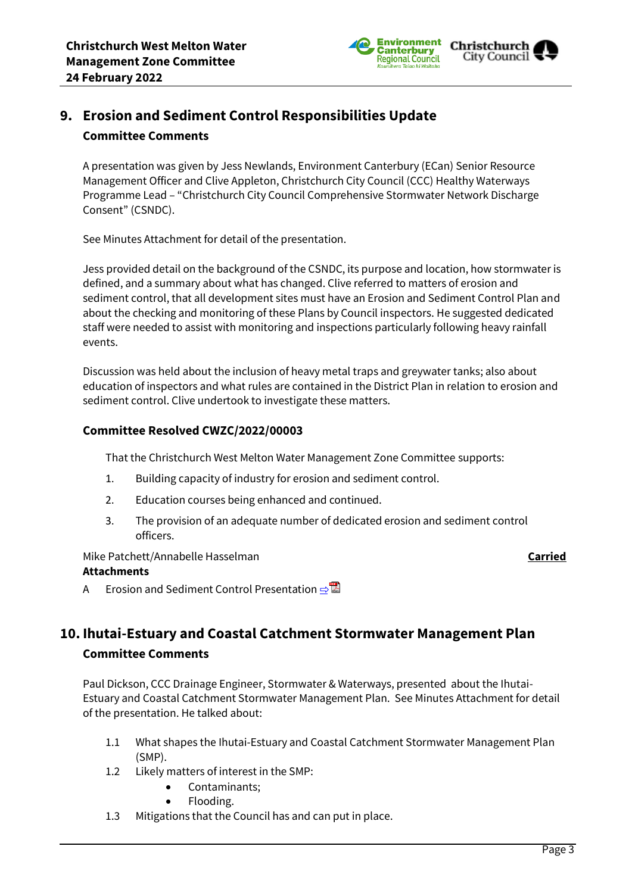

# **9. Erosion and Sediment Control Responsibilities Update Committee Comments**

A presentation was given by Jess Newlands, Environment Canterbury (ECan) Senior Resource Management Officer and Clive Appleton, Christchurch City Council (CCC) Healthy Waterways Programme Lead – "Christchurch City Council Comprehensive Stormwater Network Discharge Consent" (CSNDC).

See Minutes Attachment for detail of the presentation.

Jess provided detail on the background of the CSNDC, its purpose and location, how stormwater is defined, and a summary about what has changed. Clive referred to matters of erosion and sediment control, that all development sites must have an Erosion and Sediment Control Plan and about the checking and monitoring of these Plans by Council inspectors. He suggested dedicated staff were needed to assist with monitoring and inspections particularly following heavy rainfall events.

Discussion was held about the inclusion of heavy metal traps and greywater tanks; also about education of inspectors and what rules are contained in the District Plan in relation to erosion and sediment control. Clive undertook to investigate these matters.

### **Committee Resolved CWZC/2022/00003**

That the Christchurch West Melton Water Management Zone Committee supports:

- 1. Building capacity of industry for erosion and sediment control.
- 2. Education courses being enhanced and continued.
- 3. The provision of an adequate number of dedicated erosion and sediment control officers.

Mike Patchett/Annabelle Hasselman **Carried**

### **Attachments**

A Erosion and Sediment Control Presentation **e** 

# **10. Ihutai-Estuary and Coastal Catchment Stormwater Management Plan Committee Comments**

Paul Dickson, CCC Drainage Engineer, Stormwater & Waterways, presented about the Ihutai-Estuary and Coastal Catchment Stormwater Management Plan. See Minutes Attachment for detail of the presentation. He talked about:

- 1.1 What shapes the Ihutai-Estuary and Coastal Catchment Stormwater Management Plan (SMP).
- 1.2 Likely matters of interest in the SMP:
	- Contaminants;
	- Flooding.
- 1.3 Mitigations that the Council has and can put in place.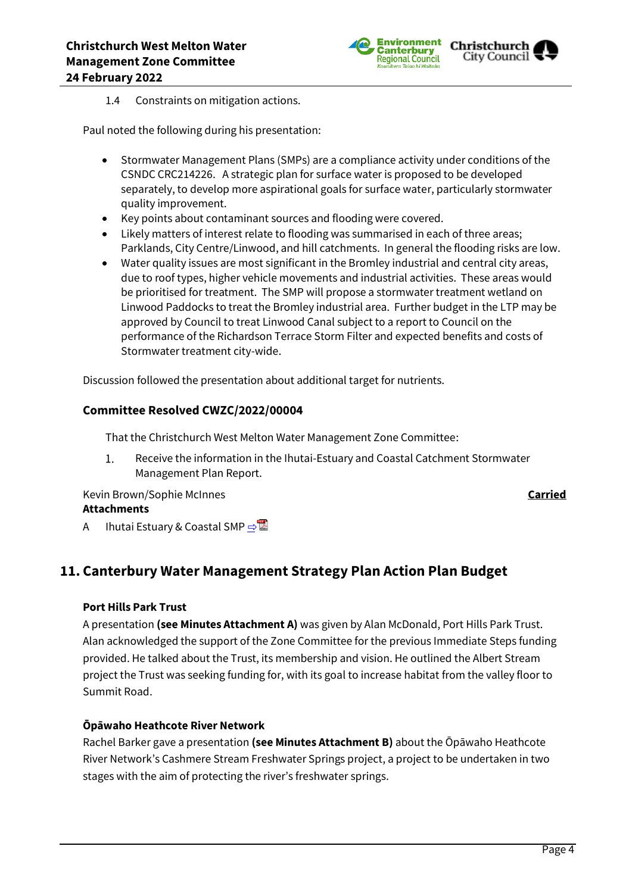

### 1.4 Constraints on mitigation actions.

Paul noted the following during his presentation:

- Stormwater Management Plans (SMPs) are a compliance activity under conditions of the CSNDC CRC214226. A strategic plan for surface water is proposed to be developed separately, to develop more aspirational goals for surface water, particularly stormwater quality improvement.
- Key points about contaminant sources and flooding were covered.
- Likely matters of interest relate to flooding was summarised in each of three areas; Parklands, City Centre/Linwood, and hill catchments. In general the flooding risks are low.
- Water quality issues are most significant in the Bromley industrial and central city areas, due to roof types, higher vehicle movements and industrial activities. These areas would be prioritised for treatment. The SMP will propose a stormwater treatment wetland on Linwood Paddocks to treat the Bromley industrial area. Further budget in the LTP may be approved by Council to treat Linwood Canal subject to a report to Council on the performance of the Richardson Terrace Storm Filter and expected benefits and costs of Stormwater treatment city-wide.

Discussion followed the presentation about additional target for nutrients.

### **Committee Resolved CWZC/2022/00004**

That the Christchurch West Melton Water Management Zone Committee:

Receive the information in the Ihutai-Estuary and Coastal Catchment Stormwater 1. Management Plan Report.

Kevin Brown/Sophie McInnes **Carried**

### **Attachments**

A Ihutai Estuary & Coastal SMP **[⇨](../../../RedirectToInvalidFileName.aspx?FileName=CWZC_20220224_MAT_7575.PDF#PAGE=1)** 

# **11. Canterbury Water Management Strategy Plan Action Plan Budget**

### **Port Hills Park Trust**

A presentation **(see Minutes Attachment A)** was given by Alan McDonald, Port Hills Park Trust. Alan acknowledged the support of the Zone Committee for the previous Immediate Steps funding provided. He talked about the Trust, its membership and vision. He outlined the Albert Stream project the Trust was seeking funding for, with its goal to increase habitat from the valley floor to Summit Road.

### **Ōpāwaho Heathcote River Network**

Rachel Barker gave a presentation **(see Minutes Attachment B)** about the Ōpāwaho Heathcote River Network's Cashmere Stream Freshwater Springs project, a project to be undertaken in two stages with the aim of protecting the river's freshwater springs.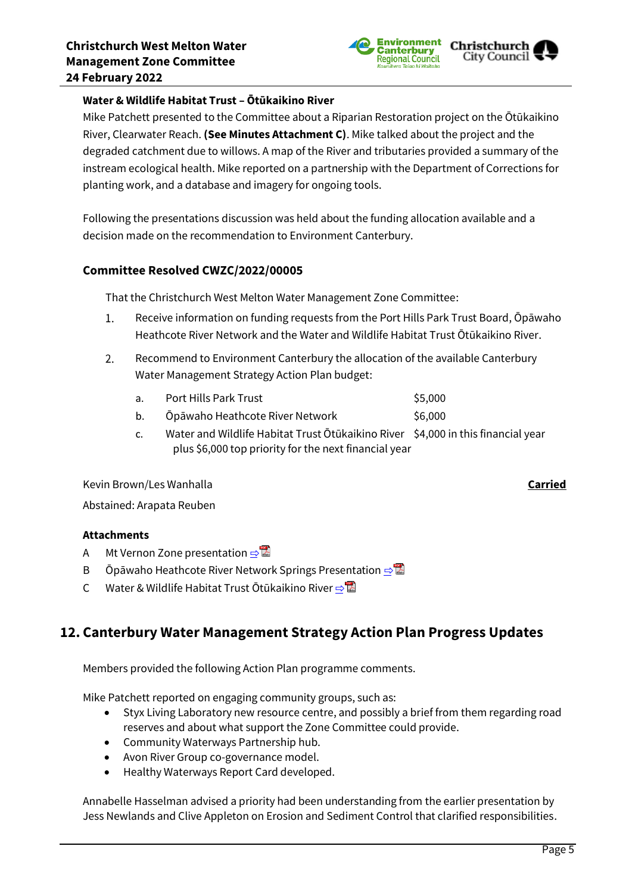

### **Water & Wildlife Habitat Trust – Ōtūkaikino River**

Mike Patchett presented to the Committee about a Riparian Restoration project on the Ōtūkaikino River, Clearwater Reach. **(See Minutes Attachment C)**. Mike talked about the project and the degraded catchment due to willows. A map of the River and tributaries provided a summary of the instream ecological health. Mike reported on a partnership with the Department of Corrections for planting work, and a database and imagery for ongoing tools.

Following the presentations discussion was held about the funding allocation available and a decision made on the recommendation to Environment Canterbury.

### **Committee Resolved CWZC/2022/00005**

That the Christchurch West Melton Water Management Zone Committee:

- 1. Receive information on funding requests from the Port Hills Park Trust Board, Ōpāwaho Heathcote River Network and the Water and Wildlife Habitat Trust Ōtūkaikino River.
- Recommend to Environment Canterbury the allocation of the available Canterbury  $2.$ Water Management Strategy Action Plan budget:
	- a. Port Hills Park Trust **\$5,000**
	- b. Ōpāwaho Heathcote River Network  $\sim$  \$6.000
	- c. Water and Wildlife Habitat Trust Ōtūkaikino River \$4,000 in this financial year plus \$6,000 top priority for the next financial year

Kevin Brown/Les Wanhalla **Carried** Abstained: Arapata Reuben

### **Attachments**

- A Mt Vernon Zone presentation ⇒
- B Ōpāwaho Heathcote River Network Springs Presentation **[⇨](../../../RedirectToInvalidFileName.aspx?FileName=CWZC_20220224_MAT_7575.PDF#PAGE=1)**
- C Water & Wildlife Habitat Trust Ōtūkaikino River ⇒

# **12. Canterbury Water Management Strategy Action Plan Progress Updates**

Members provided the following Action Plan programme comments.

Mike Patchett reported on engaging community groups, such as:

- Styx Living Laboratory new resource centre, and possibly a brief from them regarding road reserves and about what support the Zone Committee could provide.
- Community Waterways Partnership hub.
- Avon River Group co-governance model.
- Healthy Waterways Report Card developed.

Annabelle Hasselman advised a priority had been understanding from the earlier presentation by Jess Newlands and Clive Appleton on Erosion and Sediment Control that clarified responsibilities.